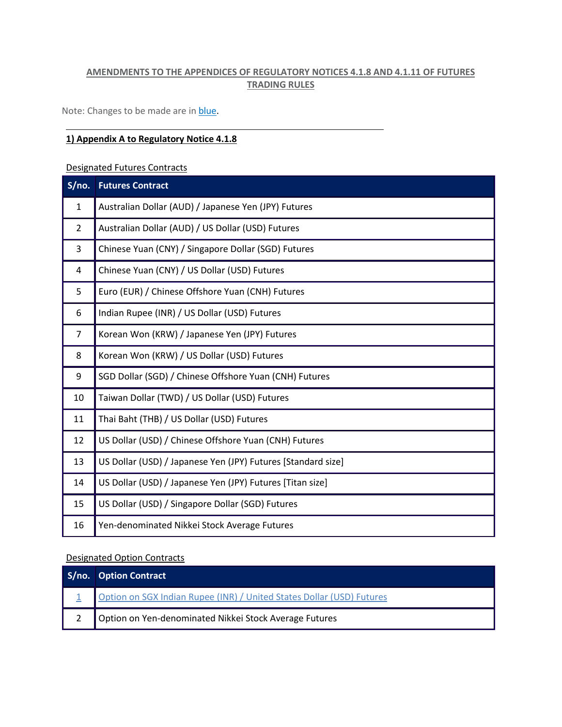## **AMENDMENTS TO THE APPENDICES OF REGULATORY NOTICES 4.1.8 AND 4.1.11 OF FUTURES TRADING RULES**

Note: Changes to be made are in **blue**.

#### **1) Appendix A to Regulatory Notice 4.1.8**

Designated Futures Contracts

| S/no.          | <b>Futures Contract</b>                                      |
|----------------|--------------------------------------------------------------|
| $\mathbf{1}$   | Australian Dollar (AUD) / Japanese Yen (JPY) Futures         |
| $\overline{2}$ | Australian Dollar (AUD) / US Dollar (USD) Futures            |
| 3              | Chinese Yuan (CNY) / Singapore Dollar (SGD) Futures          |
| 4              | Chinese Yuan (CNY) / US Dollar (USD) Futures                 |
| 5              | Euro (EUR) / Chinese Offshore Yuan (CNH) Futures             |
| 6              | Indian Rupee (INR) / US Dollar (USD) Futures                 |
| $\overline{7}$ | Korean Won (KRW) / Japanese Yen (JPY) Futures                |
| 8              | Korean Won (KRW) / US Dollar (USD) Futures                   |
| 9              | SGD Dollar (SGD) / Chinese Offshore Yuan (CNH) Futures       |
| 10             | Taiwan Dollar (TWD) / US Dollar (USD) Futures                |
| 11             | Thai Baht (THB) / US Dollar (USD) Futures                    |
| 12             | US Dollar (USD) / Chinese Offshore Yuan (CNH) Futures        |
| 13             | US Dollar (USD) / Japanese Yen (JPY) Futures [Standard size] |
| 14             | US Dollar (USD) / Japanese Yen (JPY) Futures [Titan size]    |
| 15             | US Dollar (USD) / Singapore Dollar (SGD) Futures             |
| 16             | Yen-denominated Nikkei Stock Average Futures                 |

#### Designated Option Contracts

| S/no. Option Contract                                                 |
|-----------------------------------------------------------------------|
| Option on SGX Indian Rupee (INR) / United States Dollar (USD) Futures |
| Option on Yen-denominated Nikkei Stock Average Futures                |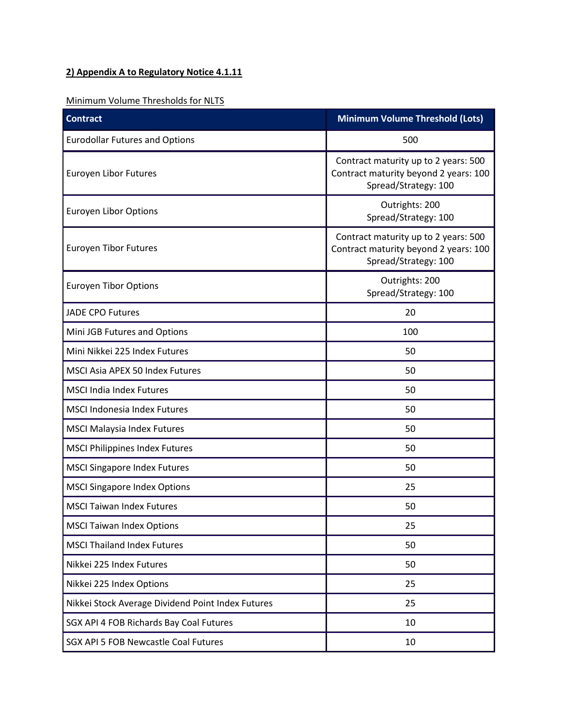# **2) Appendix A to Regulatory Notice 4.1.11**

## Minimum Volume Thresholds for NLTS

| <b>Contract</b>                                   | <b>Minimum Volume Threshold (Lots)</b>                                                                |
|---------------------------------------------------|-------------------------------------------------------------------------------------------------------|
| <b>Eurodollar Futures and Options</b>             | 500                                                                                                   |
| <b>Euroyen Libor Futures</b>                      | Contract maturity up to 2 years: 500<br>Contract maturity beyond 2 years: 100<br>Spread/Strategy: 100 |
| <b>Euroyen Libor Options</b>                      | Outrights: 200<br>Spread/Strategy: 100                                                                |
| <b>Euroyen Tibor Futures</b>                      | Contract maturity up to 2 years: 500<br>Contract maturity beyond 2 years: 100<br>Spread/Strategy: 100 |
| <b>Euroyen Tibor Options</b>                      | Outrights: 200<br>Spread/Strategy: 100                                                                |
| <b>JADE CPO Futures</b>                           | 20                                                                                                    |
| Mini JGB Futures and Options                      | 100                                                                                                   |
| Mini Nikkei 225 Index Futures                     | 50                                                                                                    |
| MSCI Asia APEX 50 Index Futures                   | 50                                                                                                    |
| <b>MSCI India Index Futures</b>                   | 50                                                                                                    |
| <b>MSCI Indonesia Index Futures</b>               | 50                                                                                                    |
| <b>MSCI Malaysia Index Futures</b>                | 50                                                                                                    |
| <b>MSCI Philippines Index Futures</b>             | 50                                                                                                    |
| <b>MSCI Singapore Index Futures</b>               | 50                                                                                                    |
| <b>MSCI Singapore Index Options</b>               | 25                                                                                                    |
| <b>MSCI Taiwan Index Futures</b>                  | 50                                                                                                    |
| <b>MSCI Taiwan Index Options</b>                  | 25                                                                                                    |
| <b>MSCI Thailand Index Futures</b>                | 50                                                                                                    |
| Nikkei 225 Index Futures                          | 50                                                                                                    |
| Nikkei 225 Index Options                          | 25                                                                                                    |
| Nikkei Stock Average Dividend Point Index Futures | 25                                                                                                    |
| SGX API 4 FOB Richards Bay Coal Futures           | 10                                                                                                    |
| SGX API 5 FOB Newcastle Coal Futures              | 10                                                                                                    |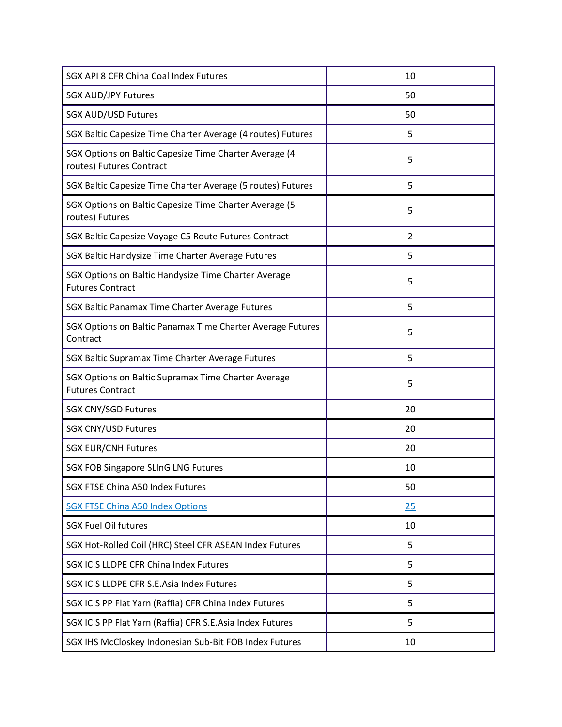| SGX API 8 CFR China Coal Index Futures                                             | 10             |
|------------------------------------------------------------------------------------|----------------|
| <b>SGX AUD/JPY Futures</b>                                                         | 50             |
| <b>SGX AUD/USD Futures</b>                                                         | 50             |
| SGX Baltic Capesize Time Charter Average (4 routes) Futures                        | 5              |
| SGX Options on Baltic Capesize Time Charter Average (4<br>routes) Futures Contract | 5              |
| SGX Baltic Capesize Time Charter Average (5 routes) Futures                        | 5              |
| SGX Options on Baltic Capesize Time Charter Average (5<br>routes) Futures          | 5              |
| SGX Baltic Capesize Voyage C5 Route Futures Contract                               | $\overline{2}$ |
| SGX Baltic Handysize Time Charter Average Futures                                  | 5              |
| SGX Options on Baltic Handysize Time Charter Average<br><b>Futures Contract</b>    | 5              |
| SGX Baltic Panamax Time Charter Average Futures                                    | 5              |
| SGX Options on Baltic Panamax Time Charter Average Futures<br>Contract             | 5              |
| SGX Baltic Supramax Time Charter Average Futures                                   | 5              |
| SGX Options on Baltic Supramax Time Charter Average<br><b>Futures Contract</b>     | 5              |
| <b>SGX CNY/SGD Futures</b>                                                         | 20             |
| <b>SGX CNY/USD Futures</b>                                                         | 20             |
| <b>SGX EUR/CNH Futures</b>                                                         | 20             |
| <b>SGX FOB Singapore SLInG LNG Futures</b>                                         | 10             |
| SGX FTSE China A50 Index Futures                                                   | 50             |
| <b>SGX FTSE China A50 Index Options</b>                                            | 25             |
| <b>SGX Fuel Oil futures</b>                                                        | 10             |
| SGX Hot-Rolled Coil (HRC) Steel CFR ASEAN Index Futures                            | 5              |
| SGX ICIS LLDPE CFR China Index Futures                                             | 5              |
| SGX ICIS LLDPE CFR S.E.Asia Index Futures                                          | 5              |
| SGX ICIS PP Flat Yarn (Raffia) CFR China Index Futures                             | 5              |
| SGX ICIS PP Flat Yarn (Raffia) CFR S.E.Asia Index Futures                          | 5              |
| SGX IHS McCloskey Indonesian Sub-Bit FOB Index Futures                             | 10             |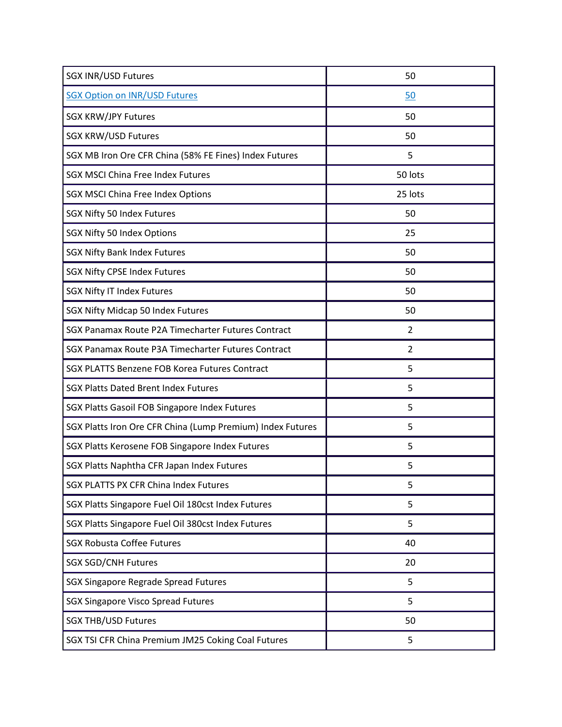| <b>SGX INR/USD Futures</b>                                 | 50             |
|------------------------------------------------------------|----------------|
| <b>SGX Option on INR/USD Futures</b>                       | 50             |
| <b>SGX KRW/JPY Futures</b>                                 | 50             |
| <b>SGX KRW/USD Futures</b>                                 | 50             |
| SGX MB Iron Ore CFR China (58% FE Fines) Index Futures     | 5              |
| <b>SGX MSCI China Free Index Futures</b>                   | 50 lots        |
| SGX MSCI China Free Index Options                          | 25 lots        |
| SGX Nifty 50 Index Futures                                 | 50             |
| SGX Nifty 50 Index Options                                 | 25             |
| <b>SGX Nifty Bank Index Futures</b>                        | 50             |
| <b>SGX Nifty CPSE Index Futures</b>                        | 50             |
| <b>SGX Nifty IT Index Futures</b>                          | 50             |
| SGX Nifty Midcap 50 Index Futures                          | 50             |
| SGX Panamax Route P2A Timecharter Futures Contract         | $\overline{2}$ |
| SGX Panamax Route P3A Timecharter Futures Contract         | $\overline{2}$ |
| SGX PLATTS Benzene FOB Korea Futures Contract              | 5              |
| <b>SGX Platts Dated Brent Index Futures</b>                | 5              |
| SGX Platts Gasoil FOB Singapore Index Futures              | 5              |
| SGX Platts Iron Ore CFR China (Lump Premium) Index Futures | 5              |
| SGX Platts Kerosene FOB Singapore Index Futures            | 5              |
| SGX Platts Naphtha CFR Japan Index Futures                 | 5              |
| <b>SGX PLATTS PX CFR China Index Futures</b>               | 5              |
| SGX Platts Singapore Fuel Oil 180cst Index Futures         | 5              |
| SGX Platts Singapore Fuel Oil 380cst Index Futures         | 5              |
| <b>SGX Robusta Coffee Futures</b>                          | 40             |
| <b>SGX SGD/CNH Futures</b>                                 | 20             |
| SGX Singapore Regrade Spread Futures                       | 5              |
| <b>SGX Singapore Visco Spread Futures</b>                  | 5              |
| <b>SGX THB/USD Futures</b>                                 | 50             |
| SGX TSI CFR China Premium JM25 Coking Coal Futures         | 5              |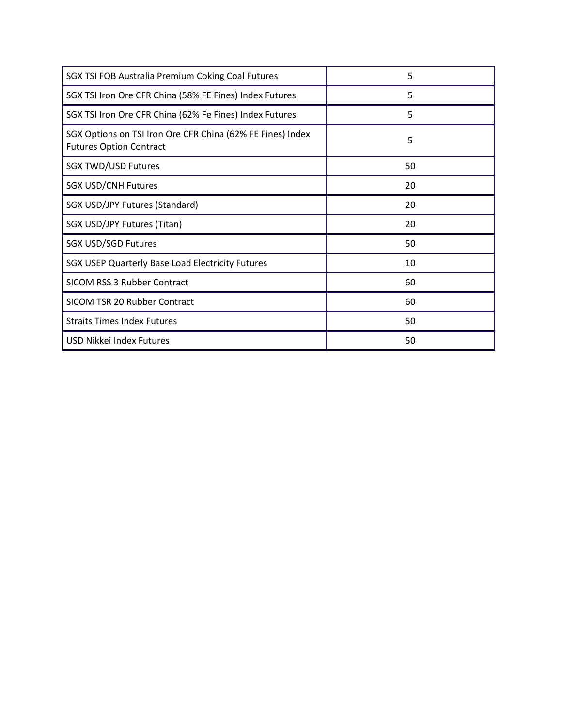| SGX TSI FOB Australia Premium Coking Coal Futures                                            | 5  |
|----------------------------------------------------------------------------------------------|----|
| SGX TSI Iron Ore CFR China (58% FE Fines) Index Futures                                      | 5  |
| SGX TSI Iron Ore CFR China (62% Fe Fines) Index Futures                                      | 5  |
| SGX Options on TSI Iron Ore CFR China (62% FE Fines) Index<br><b>Futures Option Contract</b> | 5  |
| <b>SGX TWD/USD Futures</b>                                                                   | 50 |
| <b>SGX USD/CNH Futures</b>                                                                   | 20 |
| SGX USD/JPY Futures (Standard)                                                               | 20 |
| SGX USD/JPY Futures (Titan)                                                                  | 20 |
| <b>SGX USD/SGD Futures</b>                                                                   | 50 |
| SGX USEP Quarterly Base Load Electricity Futures                                             | 10 |
| <b>SICOM RSS 3 Rubber Contract</b>                                                           | 60 |
| SICOM TSR 20 Rubber Contract                                                                 | 60 |
| <b>Straits Times Index Futures</b>                                                           | 50 |
| USD Nikkei Index Futures                                                                     | 50 |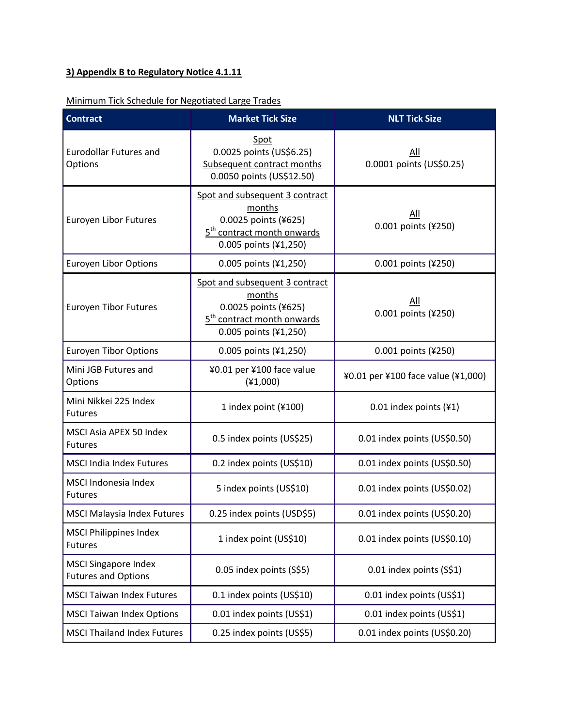# **3) Appendix B to Regulatory Notice 4.1.11**

### Minimum Tick Schedule for Negotiated Large Trades

| <b>Contract</b>                                           | <b>Market Tick Size</b>                                                                                                             | <b>NLT Tick Size</b>               |
|-----------------------------------------------------------|-------------------------------------------------------------------------------------------------------------------------------------|------------------------------------|
| <b>Eurodollar Futures and</b><br>Options                  | Spot<br>0.0025 points (US\$6.25)<br>Subsequent contract months<br>0.0050 points (US\$12.50)                                         | All<br>0.0001 points (US\$0.25)    |
| Euroyen Libor Futures                                     | Spot and subsequent 3 contract<br>months<br>0.0025 points (¥625)<br>5 <sup>th</sup> contract month onwards<br>0.005 points (¥1,250) | All<br>0.001 points (¥250)         |
| <b>Euroyen Libor Options</b>                              | 0.005 points (¥1,250)                                                                                                               | 0.001 points (¥250)                |
| <b>Euroyen Tibor Futures</b>                              | Spot and subsequent 3 contract<br>months<br>0.0025 points (¥625)<br>5 <sup>th</sup> contract month onwards<br>0.005 points (¥1,250) | All<br>0.001 points (¥250)         |
| <b>Euroyen Tibor Options</b>                              | 0.005 points (¥1,250)                                                                                                               | 0.001 points (¥250)                |
| Mini JGB Futures and<br>Options                           | ¥0.01 per ¥100 face value<br>(41,000)                                                                                               | ¥0.01 per ¥100 face value (¥1,000) |
| Mini Nikkei 225 Index<br><b>Futures</b>                   | 1 index point (¥100)                                                                                                                | 0.01 index points (¥1)             |
| MSCI Asia APEX 50 Index<br><b>Futures</b>                 | 0.5 index points (US\$25)                                                                                                           | 0.01 index points (US\$0.50)       |
| <b>MSCI India Index Futures</b>                           | 0.2 index points (US\$10)                                                                                                           | 0.01 index points (US\$0.50)       |
| MSCI Indonesia Index<br><b>Futures</b>                    | 5 index points (US\$10)                                                                                                             | 0.01 index points (US\$0.02)       |
| <b>MSCI Malaysia Index Futures</b>                        | 0.25 index points (USD\$5)                                                                                                          | 0.01 index points (US\$0.20)       |
| <b>MSCI Philippines Index</b><br><b>Futures</b>           | 1 index point (US\$10)                                                                                                              | 0.01 index points (US\$0.10)       |
| <b>MSCI Singapore Index</b><br><b>Futures and Options</b> | 0.05 index points (S\$5)                                                                                                            | 0.01 index points (S\$1)           |
| <b>MSCI Taiwan Index Futures</b>                          | 0.1 index points (US\$10)                                                                                                           | 0.01 index points (US\$1)          |
| <b>MSCI Taiwan Index Options</b>                          | 0.01 index points (US\$1)                                                                                                           | 0.01 index points (US\$1)          |
| <b>MSCI Thailand Index Futures</b>                        | 0.25 index points (US\$5)                                                                                                           | 0.01 index points (US\$0.20)       |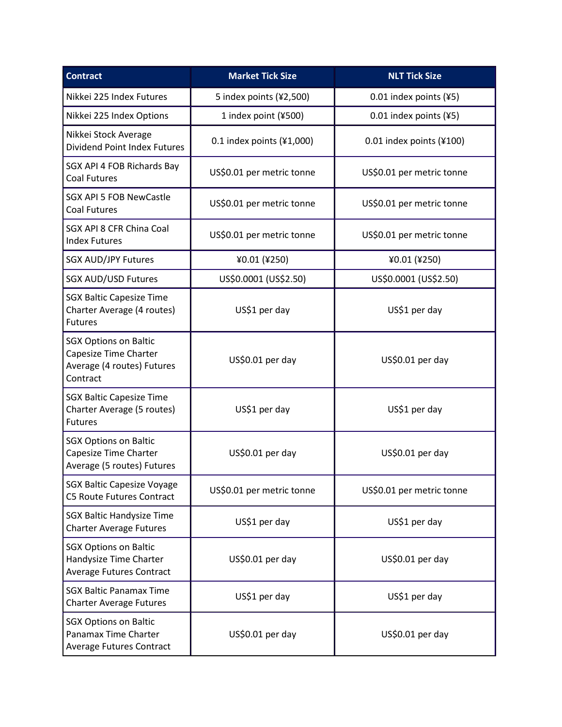| <b>Contract</b>                                                                                 | <b>Market Tick Size</b>     | <b>NLT Tick Size</b>      |
|-------------------------------------------------------------------------------------------------|-----------------------------|---------------------------|
| Nikkei 225 Index Futures                                                                        | 5 index points (¥2,500)     | 0.01 index points (¥5)    |
| Nikkei 225 Index Options                                                                        | 1 index point (¥500)        | 0.01 index points (¥5)    |
| Nikkei Stock Average<br><b>Dividend Point Index Futures</b>                                     | 0.1 index points $(41,000)$ | 0.01 index points (¥100)  |
| SGX API 4 FOB Richards Bay<br><b>Coal Futures</b>                                               | US\$0.01 per metric tonne   | US\$0.01 per metric tonne |
| <b>SGX API 5 FOB NewCastle</b><br><b>Coal Futures</b>                                           | US\$0.01 per metric tonne   | US\$0.01 per metric tonne |
| SGX API 8 CFR China Coal<br><b>Index Futures</b>                                                | US\$0.01 per metric tonne   | US\$0.01 per metric tonne |
| <b>SGX AUD/JPY Futures</b>                                                                      | ¥0.01 (¥250)                | ¥0.01 (¥250)              |
| <b>SGX AUD/USD Futures</b>                                                                      | US\$0.0001 (US\$2.50)       | US\$0.0001 (US\$2.50)     |
| <b>SGX Baltic Capesize Time</b><br>Charter Average (4 routes)<br><b>Futures</b>                 | US\$1 per day               | US\$1 per day             |
| <b>SGX Options on Baltic</b><br>Capesize Time Charter<br>Average (4 routes) Futures<br>Contract | US\$0.01 per day            | US\$0.01 per day          |
| <b>SGX Baltic Capesize Time</b><br>Charter Average (5 routes)<br><b>Futures</b>                 | US\$1 per day               | US\$1 per day             |
| <b>SGX Options on Baltic</b><br>Capesize Time Charter<br>Average (5 routes) Futures             | US\$0.01 per day            | US\$0.01 per day          |
| <b>SGX Baltic Capesize Voyage</b><br><b>C5 Route Futures Contract</b>                           | US\$0.01 per metric tonne   | US\$0.01 per metric tonne |
| <b>SGX Baltic Handysize Time</b><br><b>Charter Average Futures</b>                              | US\$1 per day               | US\$1 per day             |
| <b>SGX Options on Baltic</b><br>Handysize Time Charter<br><b>Average Futures Contract</b>       | US\$0.01 per day            | US\$0.01 per day          |
| <b>SGX Baltic Panamax Time</b><br><b>Charter Average Futures</b>                                | US\$1 per day               | US\$1 per day             |
| <b>SGX Options on Baltic</b><br>Panamax Time Charter<br>Average Futures Contract                | US\$0.01 per day            | US\$0.01 per day          |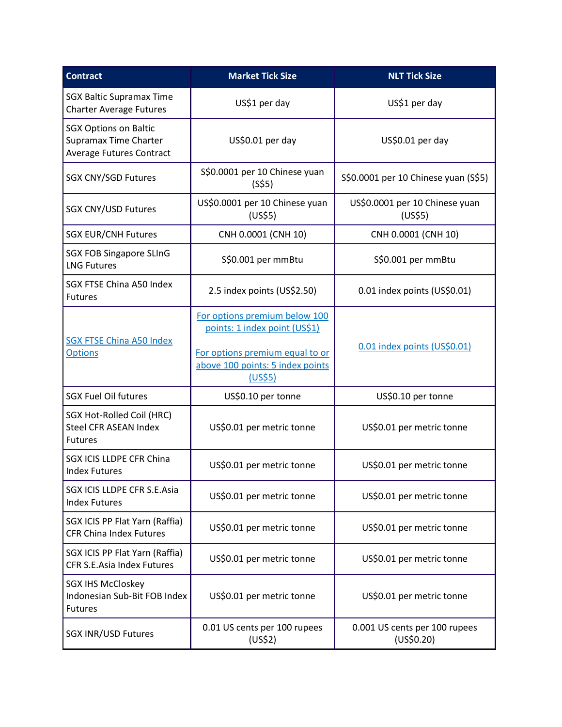| <b>Contract</b>                                                                          | <b>Market Tick Size</b>                                                                                                                          | <b>NLT Tick Size</b>                        |
|------------------------------------------------------------------------------------------|--------------------------------------------------------------------------------------------------------------------------------------------------|---------------------------------------------|
| <b>SGX Baltic Supramax Time</b><br><b>Charter Average Futures</b>                        | US\$1 per day                                                                                                                                    | US\$1 per day                               |
| <b>SGX Options on Baltic</b><br>Supramax Time Charter<br><b>Average Futures Contract</b> | US\$0.01 per day                                                                                                                                 | US\$0.01 per day                            |
| <b>SGX CNY/SGD Futures</b>                                                               | S\$0.0001 per 10 Chinese yuan<br>(S\$5)                                                                                                          | S\$0.0001 per 10 Chinese yuan (S\$5)        |
| <b>SGX CNY/USD Futures</b>                                                               | US\$0.0001 per 10 Chinese yuan<br>(US\$5)                                                                                                        | US\$0.0001 per 10 Chinese yuan<br>(US\$5)   |
| <b>SGX EUR/CNH Futures</b>                                                               | CNH 0.0001 (CNH 10)                                                                                                                              | CNH 0.0001 (CNH 10)                         |
| <b>SGX FOB Singapore SLInG</b><br><b>LNG Futures</b>                                     | S\$0.001 per mmBtu                                                                                                                               | S\$0.001 per mmBtu                          |
| SGX FTSE China A50 Index<br><b>Futures</b>                                               | 2.5 index points (US\$2.50)                                                                                                                      | 0.01 index points (US\$0.01)                |
| <b>SGX FTSE China A50 Index</b><br><b>Options</b>                                        | For options premium below 100<br>points: 1 index point (US\$1)<br>For options premium equal to or<br>above 100 points: 5 index points<br>(US\$5) | 0.01 index points (US\$0.01)                |
| <b>SGX Fuel Oil futures</b>                                                              | US\$0.10 per tonne                                                                                                                               | US\$0.10 per tonne                          |
| SGX Hot-Rolled Coil (HRC)<br><b>Steel CFR ASEAN Index</b><br><b>Futures</b>              | US\$0.01 per metric tonne                                                                                                                        | US\$0.01 per metric tonne                   |
| SGX ICIS LLDPE CFR China<br><b>Index Futures</b>                                         | US\$0.01 per metric tonne                                                                                                                        | US\$0.01 per metric tonne                   |
| SGX ICIS LLDPE CFR S.E.Asia<br><b>Index Futures</b>                                      | US\$0.01 per metric tonne                                                                                                                        | US\$0.01 per metric tonne                   |
| SGX ICIS PP Flat Yarn (Raffia)<br><b>CFR China Index Futures</b>                         | US\$0.01 per metric tonne                                                                                                                        | US\$0.01 per metric tonne                   |
| SGX ICIS PP Flat Yarn (Raffia)<br>CFR S.E.Asia Index Futures                             | US\$0.01 per metric tonne                                                                                                                        | US\$0.01 per metric tonne                   |
| <b>SGX IHS McCloskey</b><br>Indonesian Sub-Bit FOB Index<br><b>Futures</b>               | US\$0.01 per metric tonne                                                                                                                        | US\$0.01 per metric tonne                   |
| <b>SGX INR/USD Futures</b>                                                               | 0.01 US cents per 100 rupees<br>(US\$2)                                                                                                          | 0.001 US cents per 100 rupees<br>(US\$0.20) |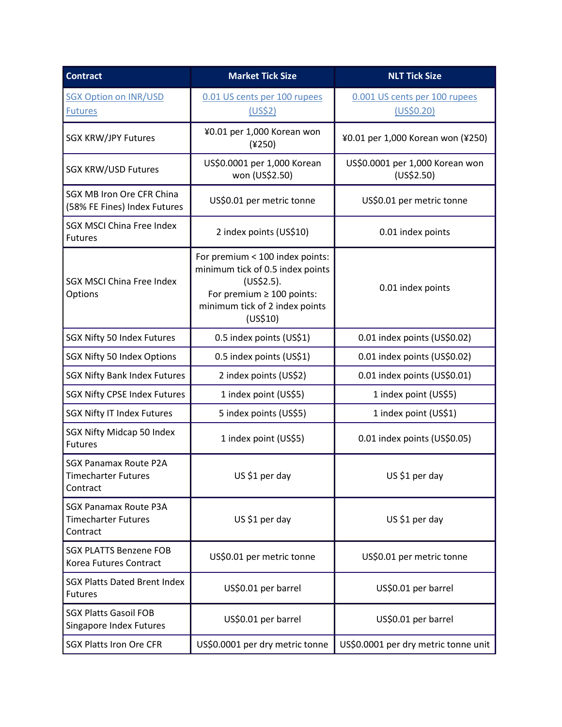| <b>Contract</b>                                                        | <b>Market Tick Size</b>                                                                                                                                           | <b>NLT Tick Size</b>                          |
|------------------------------------------------------------------------|-------------------------------------------------------------------------------------------------------------------------------------------------------------------|-----------------------------------------------|
| <b>SGX Option on INR/USD</b><br><b>Futures</b>                         | 0.01 US cents per 100 rupees<br>(US\$2)                                                                                                                           | 0.001 US cents per 100 rupees<br>(US\$0.20)   |
| <b>SGX KRW/JPY Futures</b>                                             | ¥0.01 per 1,000 Korean won<br>$(*250)$                                                                                                                            | ¥0.01 per 1,000 Korean won (¥250)             |
| <b>SGX KRW/USD Futures</b>                                             | US\$0.0001 per 1,000 Korean<br>won (US\$2.50)                                                                                                                     | US\$0.0001 per 1,000 Korean won<br>(US\$2.50) |
| SGX MB Iron Ore CFR China<br>(58% FE Fines) Index Futures              | US\$0.01 per metric tonne                                                                                                                                         | US\$0.01 per metric tonne                     |
| <b>SGX MSCI China Free Index</b><br><b>Futures</b>                     | 2 index points (US\$10)                                                                                                                                           | 0.01 index points                             |
| SGX MSCI China Free Index<br>Options                                   | For premium < 100 index points:<br>minimum tick of 0.5 index points<br>(US\$2.5).<br>For premium $\geq 100$ points:<br>minimum tick of 2 index points<br>(US\$10) | 0.01 index points                             |
| SGX Nifty 50 Index Futures                                             | 0.5 index points (US\$1)                                                                                                                                          | 0.01 index points (US\$0.02)                  |
| SGX Nifty 50 Index Options                                             | 0.5 index points (US\$1)                                                                                                                                          | 0.01 index points (US\$0.02)                  |
| <b>SGX Nifty Bank Index Futures</b>                                    | 2 index points (US\$2)                                                                                                                                            | 0.01 index points (US\$0.01)                  |
| <b>SGX Nifty CPSE Index Futures</b>                                    | 1 index point (US\$5)                                                                                                                                             | 1 index point (US\$5)                         |
| <b>SGX Nifty IT Index Futures</b>                                      | 5 index points (US\$5)                                                                                                                                            | 1 index point (US\$1)                         |
| SGX Nifty Midcap 50 Index<br><b>Futures</b>                            | 1 index point (US\$5)                                                                                                                                             | 0.01 index points (US\$0.05)                  |
| <b>SGX Panamax Route P2A</b><br><b>Timecharter Futures</b><br>Contract | US \$1 per day                                                                                                                                                    | US \$1 per day                                |
| <b>SGX Panamax Route P3A</b><br><b>Timecharter Futures</b><br>Contract | US \$1 per day                                                                                                                                                    | US \$1 per day                                |
| <b>SGX PLATTS Benzene FOB</b><br>Korea Futures Contract                | US\$0.01 per metric tonne                                                                                                                                         | US\$0.01 per metric tonne                     |
| <b>SGX Platts Dated Brent Index</b><br><b>Futures</b>                  | US\$0.01 per barrel                                                                                                                                               | US\$0.01 per barrel                           |
| <b>SGX Platts Gasoil FOB</b><br>Singapore Index Futures                | US\$0.01 per barrel                                                                                                                                               | US\$0.01 per barrel                           |
| <b>SGX Platts Iron Ore CFR</b>                                         | US\$0.0001 per dry metric tonne                                                                                                                                   | US\$0.0001 per dry metric tonne unit          |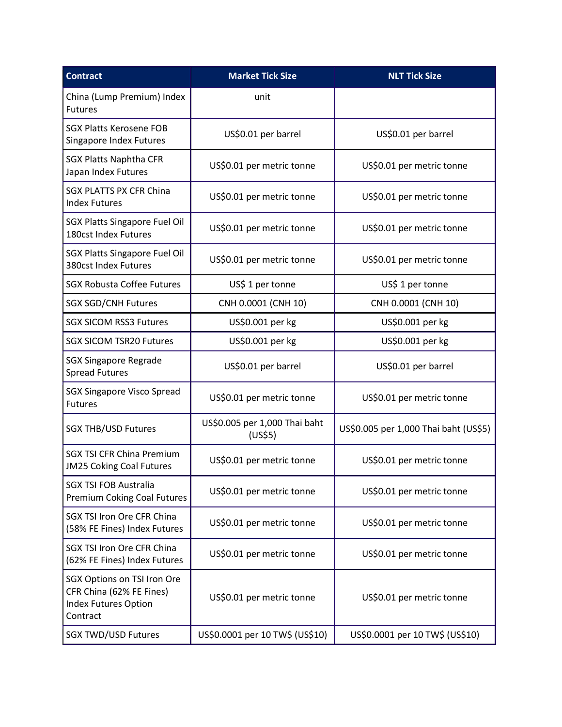| <b>Contract</b>                                                                                    | <b>Market Tick Size</b>                  | <b>NLT Tick Size</b>                  |
|----------------------------------------------------------------------------------------------------|------------------------------------------|---------------------------------------|
| China (Lump Premium) Index<br><b>Futures</b>                                                       | unit                                     |                                       |
| <b>SGX Platts Kerosene FOB</b><br>Singapore Index Futures                                          | US\$0.01 per barrel                      | US\$0.01 per barrel                   |
| <b>SGX Platts Naphtha CFR</b><br>Japan Index Futures                                               | US\$0.01 per metric tonne                | US\$0.01 per metric tonne             |
| <b>SGX PLATTS PX CFR China</b><br><b>Index Futures</b>                                             | US\$0.01 per metric tonne                | US\$0.01 per metric tonne             |
| <b>SGX Platts Singapore Fuel Oil</b><br>180cst Index Futures                                       | US\$0.01 per metric tonne                | US\$0.01 per metric tonne             |
| <b>SGX Platts Singapore Fuel Oil</b><br>380cst Index Futures                                       | US\$0.01 per metric tonne                | US\$0.01 per metric tonne             |
| <b>SGX Robusta Coffee Futures</b>                                                                  | US\$ 1 per tonne                         | US\$ 1 per tonne                      |
| <b>SGX SGD/CNH Futures</b>                                                                         | CNH 0.0001 (CNH 10)                      | CNH 0.0001 (CNH 10)                   |
| <b>SGX SICOM RSS3 Futures</b>                                                                      | US\$0.001 per kg                         | US\$0.001 per kg                      |
| <b>SGX SICOM TSR20 Futures</b>                                                                     | US\$0.001 per kg                         | US\$0.001 per kg                      |
| <b>SGX Singapore Regrade</b><br><b>Spread Futures</b>                                              | US\$0.01 per barrel                      | US\$0.01 per barrel                   |
| <b>SGX Singapore Visco Spread</b><br><b>Futures</b>                                                | US\$0.01 per metric tonne                | US\$0.01 per metric tonne             |
| <b>SGX THB/USD Futures</b>                                                                         | US\$0.005 per 1,000 Thai baht<br>(US\$5) | US\$0.005 per 1,000 Thai baht (US\$5) |
| <b>SGX TSI CFR China Premium</b><br><b>JM25 Coking Coal Futures</b>                                | US\$0.01 per metric tonne                | US\$0.01 per metric tonne             |
| <b>SGX TSI FOB Australia</b><br><b>Premium Coking Coal Futures</b>                                 | US\$0.01 per metric tonne                | US\$0.01 per metric tonne             |
| SGX TSI Iron Ore CFR China<br>(58% FE Fines) Index Futures                                         | US\$0.01 per metric tonne                | US\$0.01 per metric tonne             |
| SGX TSI Iron Ore CFR China<br>(62% FE Fines) Index Futures                                         | US\$0.01 per metric tonne                | US\$0.01 per metric tonne             |
| SGX Options on TSI Iron Ore<br>CFR China (62% FE Fines)<br><b>Index Futures Option</b><br>Contract | US\$0.01 per metric tonne                | US\$0.01 per metric tonne             |
| <b>SGX TWD/USD Futures</b>                                                                         | US\$0.0001 per 10 TW\$ (US\$10)          | US\$0.0001 per 10 TW\$ (US\$10)       |